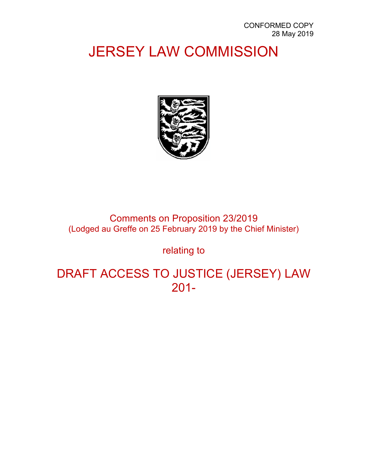# JERSEY LAW COMMISSION



Comments on Proposition 23/2019 (Lodged au Greffe on 25 February 2019 by the Chief Minister)

relating to

DRAFT ACCESS TO JUSTICE (JERSEY) LAW 201-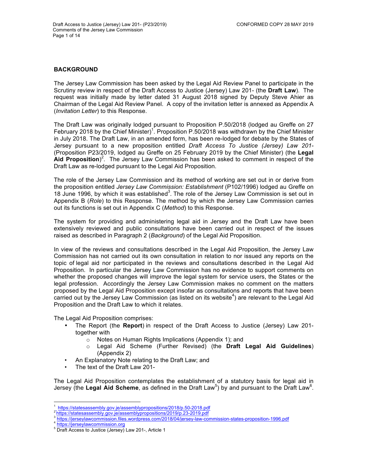# **BACKGROUND**

The Jersey Law Commission has been asked by the Legal Aid Review Panel to participate in the Scrutiny review in respect of the Draft Access to Justice (Jersey) Law 201- (the **Draft Law**). The request was initially made by letter dated 31 August 2018 signed by Deputy Steve Ahier as Chairman of the Legal Aid Review Panel. A copy of the invitation letter is annexed as Appendix A (*Invitation Letter*) to this Response.

The Draft Law was originally lodged pursuant to Proposition P.50/2018 (lodged au Greffe on 27 February 2018 by the Chief Minister)<sup>1</sup>. Proposition P.50/2018 was withdrawn by the Chief Minister in July 2018. The Draft Law, in an amended form, has been re-lodged for debate by the States of Jersey pursuant to a new proposition entitled *Draft Access To Justice (Jersey) Law 201-* (Proposition P23/2019, lodged au Greffe on 25 February 2019 by the Chief Minister) (the **Legal**  Aid Proposition)<sup>2</sup>. The Jersey Law Commission has been asked to comment in respect of the Draft Law as re-lodged pursuant to the Legal Aid Proposition.

The role of the Jersey Law Commission and its method of working are set out in or derive from the proposition entitled *Jersey Law Commission: Establishment* (P102/1996) lodged au Greffe on 18 June 1996, by which it was established<sup>3</sup>. The role of the Jersey Law Commission is set out in Appendix B (*Role*) to this Response. The method by which the Jersey Law Commission carries out its functions is set out in Appendix C (*Method*) to this Response.

The system for providing and administering legal aid in Jersey and the Draft Law have been extensively reviewed and public consultations have been carried out in respect of the issues raised as described in Paragraph 2 (*Background*) of the Legal Aid Proposition.

In view of the reviews and consultations described in the Legal Aid Proposition, the Jersey Law Commission has not carried out its own consultation in relation to nor issued any reports on the topic of legal aid nor participated in the reviews and consultations described in the Legal Aid Proposition. In particular the Jersey Law Commission has no evidence to support comments on whether the proposed changes will improve the legal system for service users, the States or the legal profession. Accordingly the Jersey Law Commission makes no comment on the matters proposed by the Legal Aid Proposition except insofar as consultations and reports that have been carried out by the Jersey Law Commission (as listed on its website<sup>4</sup>) are relevant to the Legal Aid Proposition and the Draft Law to which it relates.

The Legal Aid Proposition comprises:

- The Report (the **Report**) in respect of the Draft Access to Justice (Jersey) Law 201 together with
	- o Notes on Human Rights Implications (Appendix 1); and
	- o Legal Aid Scheme (Further Revised) (the **Draft Legal Aid Guidelines**) (Appendix 2)
- An Explanatory Note relating to the Draft Law; and
- The text of the Draft Law 201-

The Legal Aid Proposition contemplates the establishment of a statutory basis for legal aid in Jersey (the Legal Aid Scheme, as defined in the Draft Law<sup>5</sup>) by and pursuant to the Draft Law<sup>6</sup>.

<sup>1</sup>\_https://statesassembly.gov.je/assemblypropositions/2018/p.50-2018.pdf<br>2https://statesassembly.gov.je/assemblypropositions/2019/p.23-2019.pdf<br>3https://jerseylawcommission.files.wordpress.com/2018/04/jersey-law-commission-

<sup>&</sup>lt;sup>5</sup> Draft Access to Justice (Jersey) Law 201-, Article 1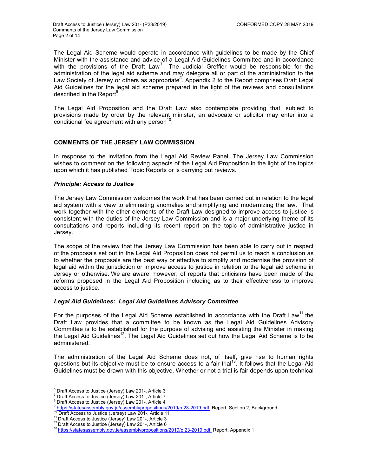The Legal Aid Scheme would operate in accordance with guidelines to be made by the Chief Minister with the assistance and advice of a Legal Aid Guidelines Committee and in accordance with the provisions of the Draft Law<sup>7</sup>. The Judicial Greffier would be responsible for the administration of the legal aid scheme and may delegate all or part of the administration to the Law Society of Jersey or others as appropriate  $8$ . Appendix 2 to the Report comprises Draft Legal Aid Guidelines for the legal aid scheme prepared in the light of the reviews and consultations described in the Report $^9$ .

The Legal Aid Proposition and the Draft Law also contemplate providing that, subject to provisions made by order by the relevant minister, an advocate or solicitor may enter into a conditional fee agreement with any person $10$ .

# **COMMENTS OF THE JERSEY LAW COMMISSION**

In response to the invitation from the Legal Aid Review Panel, The Jersey Law Commission wishes to comment on the following aspects of the Legal Aid Proposition in the light of the topics upon which it has published Topic Reports or is carrying out reviews.

# *Principle: Access to Justice*

The Jersey Law Commission welcomes the work that has been carried out in relation to the legal aid system with a view to eliminating anomalies and simplifying and modernizing the law. That work together with the other elements of the Draft Law designed to improve access to justice is consistent with the duties of the Jersey Law Commission and is a major underlying theme of its consultations and reports including its recent report on the topic of administrative justice in Jersey.

The scope of the review that the Jersey Law Commission has been able to carry out in respect of the proposals set out in the Legal Aid Proposition does not permit us to reach a conclusion as to whether the proposals are the best way or effective to simplify and modernise the provision of legal aid within the jurisdiction or improve access to justice in relation to the legal aid scheme in Jersey or otherwise. We are aware, however, of reports that criticisms have been made of the reforms proposed in the Legal Aid Proposition including as to their effectiveness to improve access to justice.

#### *Legal Aid Guidelines: Legal Aid Guidelines Advisory Committee*

For the purposes of the Legal Aid Scheme established in accordance with the Draft Law<sup>11</sup> the Draft Law provides that a committee to be known as the Legal Aid Guidelines Advisory Committee is to be established for the purpose of advising and assisting the Minister in making the Legal Aid Guidelines<sup>12</sup>. The Legal Aid Guidelines set out how the Legal Aid Scheme is to be administered.

The administration of the Legal Aid Scheme does not, of itself, give rise to human rights questions but its objective must be to ensure access to a fair trial<sup>13</sup>. It follows that the Legal Aid Guidelines must be drawn with this objective. Whether or not a trial is fair depends upon technical

<sup>&</sup>lt;sup>6</sup> Draft Access to Justice (Jersey) Law 201-, Article 3<br>
<sup>7</sup> Draft Access to Justice (Jersey) Law 201-, Article 7<br>
<sup>8</sup> Draft Access to Justice (Jersey) Law 201-, Article 4<br>
<sup>9</sup> https://statesassembly.gov.je/assemblypropo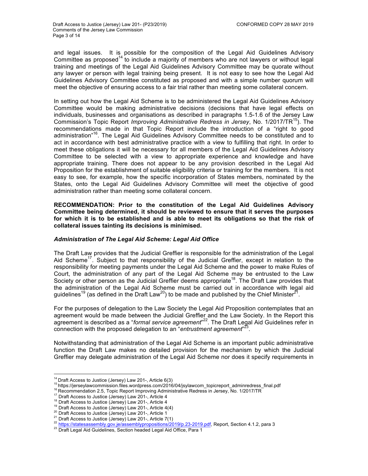and legal issues. It is possible for the composition of the Legal Aid Guidelines Advisory Committee as proposed<sup>14</sup> to include a majority of members who are not lawyers or without legal training and meetings of the Legal Aid Guidelines Advisory Committee may be quorate without any lawyer or person with legal training being present. It is not easy to see how the Legal Aid Guidelines Advisory Committee constituted as proposed and with a simple number quorum will meet the objective of ensuring access to a fair trial rather than meeting some collateral concern.

In setting out how the Legal Aid Scheme is to be administered the Legal Aid Guidelines Advisory Committee would be making administrative decisions (decisions that have legal effects on individuals, businesses and organisations as described in paragraphs 1.5-1.6 of the Jersey Law Commission's Topic Report *Improving Administrative Redress in Jersey*, No. 1/2017/TR15). The recommendations made in that Topic Report include the introduction of a "right to good administration"<sup>16</sup>. The Legal Aid Guidelines Advisory Committee needs to be constituted and to act in accordance with best administrative practice with a view to fulfilling that right. In order to meet these obligations it will be necessary for all members of the Legal Aid Guidelines Advisory Committee to be selected with a view to appropriate experience and knowledge and have appropriate training. There does not appear to be any provision described in the Legal Aid Proposition for the establishment of suitable eligibility criteria or training for the members. It is not easy to see, for example, how the specific incorporation of States members, nominated by the States, onto the Legal Aid Guidelines Advisory Committee will meet the objective of good administration rather than meeting some collateral concern.

**RECOMMENDATION: Prior to the constitution of the Legal Aid Guidelines Advisory Committee being determined, it should be reviewed to ensure that it serves the purposes for which it is to be established and is able to meet its obligations so that the risk of collateral issues tainting its decisions is minimised.**

# *Administration of The Legal Aid Scheme: Legal Aid Office*

The Draft Law provides that the Judicial Greffier is responsible for the administration of the Legal Aid Scheme<sup>17</sup>. Subject to that responsibility of the Judicial Greffier, except in relation to the responsibility for meeting payments under the Legal Aid Scheme and the power to make Rules of Court, the administration of any part of the Legal Aid Scheme may be entrusted to the Law Society or other person as the Judicial Greffier deems appropriate<sup>18</sup>. The Draft Law provides that the administration of the Legal Aid Scheme must be carried out in accordance with legal aid guidelines<sup>19</sup> (as defined in the Draft Law<sup>20</sup>) to be made and published by the Chief Minister<sup>21</sup>.

For the purposes of delegation to the Law Society the Legal Aid Proposition contemplates that an agreement would be made between the Judicial Greffier and the Law Society. In the Report this agreement is described as a "*formal service agreement*" 22. The Draft Legal Aid Guidelines refer in connection with the proposed delegation to an "*entrustment agreement*" 23.

Notwithstanding that administration of the Legal Aid Scheme is an important public administrative function the Draft Law makes no detailed provision for the mechanism by which the Judicial Greffier may delegate administration of the Legal Aid Scheme nor does it specify requirements in

 

<sup>&</sup>lt;sup>14</sup> Draft Access to Justice (Jersey) Law 201-, Article 6(3)<br><sup>15</sup> https://jerseylawcommission.files.wordpress.com/2016/04/jsylawcom\_topicreport\_adminredress\_final.pdf<br><sup>16</sup> Recommendation 2.5, Topic Report Improving Admini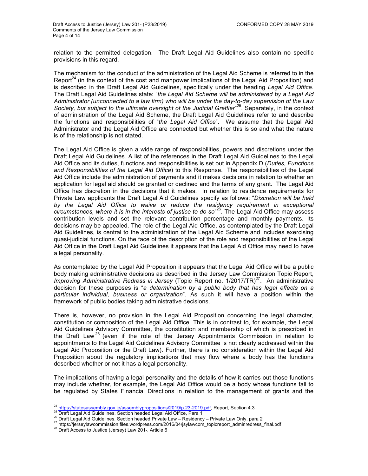relation to the permitted delegation. The Draft Legal Aid Guidelines also contain no specific provisions in this regard.

The mechanism for the conduct of the administration of the Legal Aid Scheme is referred to in the Report<sup>24</sup> (in the context of the cost and manpower implications of the Legal Aid Proposition) and is described in the Draft Legal Aid Guidelines, specifically under the heading *Legal Aid Office*. The Draft Legal Aid Guidelines state: "*the Legal Aid Scheme will be administered by a Legal Aid Administrator (unconnected to a law firm) who will be under the day-to-day supervision of the Law*  Society, but subject to the ultimate oversight of the Judicial Greffier<sup>"25</sup>. Separately, in the context of administration of the Legal Aid Scheme, the Draft Legal Aid Guidelines refer to and describe the functions and responsibilities of "*the Legal Aid Office*". We assume that the Legal Aid Administrator and the Legal Aid Office are connected but whether this is so and what the nature is of the relationship is not stated.

The Legal Aid Office is given a wide range of responsibilities, powers and discretions under the Draft Legal Aid Guidelines. A list of the references in the Draft Legal Aid Guidelines to the Legal Aid Office and its duties, functions and responsibilities is set out in Appendix D (*Duties, Functions and Responsibilities of the Legal Aid Office*) to this Response. The responsibilities of the Legal Aid Office include the administration of payments and it makes decisions in relation to whether an application for legal aid should be granted or declined and the terms of any grant. The Legal Aid Office has discretion in the decisions that it makes. In relation to residence requirements for Private Law applicants the Draft Legal Aid Guidelines specify as follows: "*Discretion will be held*  by the Legal Aid Office to waive or reduce the residency requirement in exceptional *circumstances, where it is in the interests of justice to do so*" 26. The Legal Aid Office may assess contribution levels and set the relevant contribution percentage and monthly payments. Its decisions may be appealed. The role of the Legal Aid Office, as contemplated by the Draft Legal Aid Guidelines, is central to the administration of the Legal Aid Scheme and includes exercising quasi-judicial functions. On the face of the description of the role and responsibilities of the Legal Aid Office in the Draft Legal Aid Guidelines it appears that the Legal Aid Office may need to have a legal personality.

As contemplated by the Legal Aid Proposition it appears that the Legal Aid Office will be a public body making administrative decisions as described in the Jersey Law Commission Topic Report, *Improving Administrative Redress in Jersey* (Topic Report no. 1/2017/TR)<sup>27</sup>. An administrative decision for these purposes is "*a determination by a public body that has legal effects on a particular individual, business or organization*". As such it will have a position within the framework of public bodies taking administrative decisions.

There is, however, no provision in the Legal Aid Proposition concerning the legal character, constitution or composition of the Legal Aid Office. This is in contrast to, for example, the Legal Aid Guidelines Advisory Committee, the constitution and membership of which is prescribed in the Draft Law<sup>28</sup> (even if the role of the Jersey Appointments Commission in relation to appointments to the Legal Aid Guidelines Advisory Committee is not clearly addressed within the Legal Aid Proposition or the Draft Law). Further, there is no consideration within the Legal Aid Proposition about the regulatory implications that may flow where a body has the functions described whether or not it has a legal personality.

The implications of having a legal personality and the details of how it carries out those functions may include whether, for example, the Legal Aid Office would be a body whose functions fall to be regulated by States Financial Directions in relation to the management of grants and the

<sup>&</sup>lt;sup>24</sup> https://statesassembly.gov.je/assemblypropositions/2019/p.23-2019.pdf, Report, Section 4.3<br><sup>25</sup> Draft Legal Aid Guidelines, Section headed Legal Aid Office, Para 1<br><sup>26</sup> Draft Legal Aid Guidelines, Section headed Priv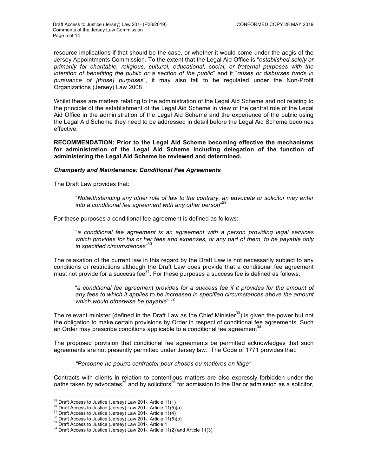resource implications if that should be the case, or whether it would come under the aegis of the Jersey Appointments Commission. To the extent that the Legal Aid Office is "*established solely or primarily for charitable, religious, cultural, educational, social, or fraternal purposes with the intention of benefiting the public or a section of the public*" and it "*raises or disburses funds in pursuance of [those] purposes*", it may also fall to be regulated under the Non-Profit Organizations (Jersey) Law 2008.

Whilst these are matters relating to the administration of the Legal Aid Scheme and not relating to the principle of the establishment of the Legal Aid Scheme in view of the central role of the Legal Aid Office in the administration of the Legal Aid Scheme and the experience of the public using the Legal Aid Scheme they need to be addressed in detail before the Legal Aid Scheme becomes effective.

**RECOMMENDATION: Prior to the Legal Aid Scheme becoming effective the mechanisms for administration of the Legal Aid Scheme including delegation of the function of administering the Legal Aid Scheme be reviewed and determined.** 

#### *Champerty and Maintenance: Conditional Fee Agreements*

The Draft Law provides that:

"*Notwithstanding any other rule of law to the contrary, an advocate or solicitor may enter into a conditional fee agreement with any other person*" 29

For these purposes a conditional fee agreement is defined as follows:

"*a conditional fee agreement is an agreement with a person providing legal services which provides for his or her fees and expenses, or any part of them, to be payable only in specified circumstances*" 30

The relaxation of the current law in this regard by the Draft Law is not necessarily subject to any conditions or restrictions although the Draft Law does provide that a conditional fee agreement must not provide for a success fee $^{31}$ . For these purposes a success fee is defined as follows:

"*a conditional fee agreement provides for a success fee if it provides for the amount of any fees to which it applies to be increased in specified circumstances above the amount which would otherwise be payable*" 32

The relevant minister (defined in the Draft Law as the Chief Minister $33$ ) is given the power but not the obligation to make certain provisions by Order in respect of conditional fee agreements. Such an Order may prescribe conditions applicable to a conditional fee agreement<sup>34</sup>.

The proposed provision that conditional fee agreements be permitted acknowledges that such agreements are not presently permitted under Jersey law. The Code of 1771 provides that:

*"Personne ne pourra contracter pour choses ou matières en litige"*

Contracts with clients in relation to contentious matters are also expressly forbidden under the oaths taken by advocates<sup>35</sup> and by solicitors<sup>36</sup> for admission to the Bar or admission as a solicitor,

 

<sup>&</sup>lt;sup>29</sup> Draft Access to Justice (Jersey) Law 201-, Article 11(1)<br><sup>30</sup> Draft Access to Justice (Jersey) Law 201-, Article 11(5)(a)<br><sup>31</sup> Draft Access to Justice (Jersey) Law 201-, Article 11(4)<br><sup>32</sup> Draft Access to Justice (Je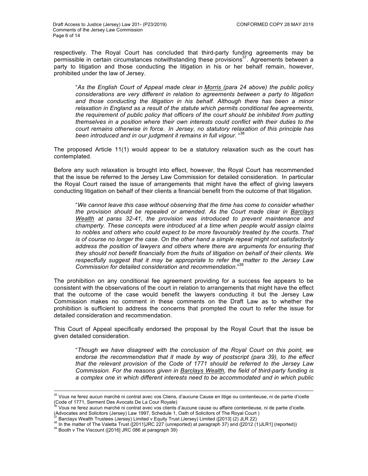respectively. The Royal Court has concluded that third-party funding agreements may be permissible in certain circumstances notwithstanding these provisions $37$ . Agreements between a party to litigation and those conducting the litigation in his or her behalf remain, however, prohibited under the law of Jersey.

"*As the English Court of Appeal made clear in Morris (para 24 above) the public policy considerations are very different in relation to agreements between a party to litigation and those conducting the litigation in his behalf. Although there has been a minor relaxation in England as a result of the statute which permits conditional fee agreements, the requirement of public policy that officers of the court should be inhibited from putting themselves in a position where their own interests could conflict with their duties to the court remains otherwise in force. In Jersey, no statutory relaxation of this principle has*  been introduced and in our judgment it remains in full vigour. "<sup>38</sup>

The proposed Article 11(1) would appear to be a statutory relaxation such as the court has contemplated.

Before any such relaxation is brought into effect, however, the Royal Court has recommended that the issue be referred to the Jersey Law Commission for detailed consideration. In particular the Royal Court raised the issue of arrangements that might have the effect of giving lawyers conducting litigation on behalf of their clients a financial benefit from the outcome of that litigation.

"*We cannot leave this case without observing that the time has come to consider whether the provision should be repealed or amended. As the Court made clear in Barclays Wealth at paras 32-41, the provision was introduced to prevent maintenance and champerty. These concepts were introduced at a time when people would assign claims to nobles and others who could expect to be more favourably treated by the courts. That is of course no longer the case. On the other hand a simple repeal might not satisfactorily address the position of lawyers and others where there are arguments for ensuring that they should not benefit financially from the fruits of litigation on behalf of their clients. We respectfully suggest that it may be appropriate to refer the matter to the Jersey Law Commission for detailed consideration and recommendation*."<sup>39</sup>

The prohibition on any conditional fee agreement providing for a success fee appears to be consistent with the observations of the court in relation to arrangements that might have the effect that the outcome of the case would benefit the lawyers conducting it but the Jersey Law Commission makes no comment in these comments on the Draft Law as to whether the prohibition is sufficient to address the concerns that prompted the court to refer the issue for detailed consideration and recommendation.

This Court of Appeal specifically endorsed the proposal by the Royal Court that the issue be given detailed consideration.

"*Though we have disagreed with the conclusion of the Royal Court on this point, we endorse the recommendation that it made by way of postscript (para 39), to the effect that the relevant provision of the Code of 1771 should be referred to the Jersey Law Commission. For the reasons given in Barclays Wealth, the field of third-party funding is a complex one in which different interests need to be accommodated and in which public* 

<sup>&</sup>lt;u> 1989 - Andrea San Andrea San Andrea San Andrea San Andrea San Andrea San Andrea San Andrea San Andrea San An</u>  $35$  Vous ne ferez aucun marché ni contrat avec vos Cliens, d'aucune Cause en litige ou contentieuse, ni de partie d'icelle (Code of 1771, Serment Des Avocats De La Cour Royale)

<sup>36</sup> Vous ne ferez aucun marché ni contrat avec vos clients d'aucune cause ou affaire contentieuse, ni de partie d'icelle. (Advocates and Solicitors (Jersey) Law 1997, Schedule 1, Oath of Solicitors of The Royal Court )

<sup>&</sup>lt;sup>38</sup> In the matter of The Valetta Trust ([2011]JRC 227 (unreported) at paragraph 37) and ([2012 (1)JLR1] (reported))<br><sup>39</sup> Booth v The Viscount ([2016] JRC 086 at paragraph 39)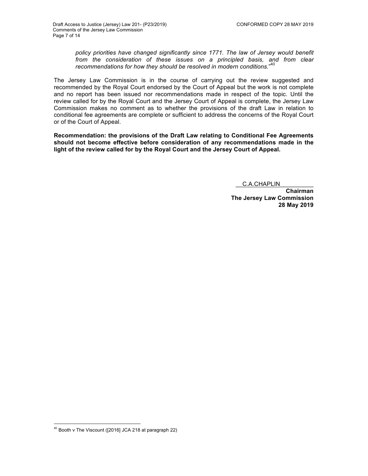*policy priorities have changed significantly since 1771. The law of Jersey would benefit*  from the consideration of these issues on a principled basis, and from clear *recommendations for how they should be resolved in modern conditions.*" 40

The Jersey Law Commission is in the course of carrying out the review suggested and recommended by the Royal Court endorsed by the Court of Appeal but the work is not complete and no report has been issued nor recommendations made in respect of the topic. Until the review called for by the Royal Court and the Jersey Court of Appeal is complete, the Jersey Law Commission makes no comment as to whether the provisions of the draft Law in relation to conditional fee agreements are complete or sufficient to address the concerns of the Royal Court or of the Court of Appeal.

**Recommendation: the provisions of the Draft Law relating to Conditional Fee Agreements should not become effective before consideration of any recommendations made in the light of the review called for by the Royal Court and the Jersey Court of Appeal.**

\_\_C.A.CHAPLIN\_\_\_\_\_\_\_\_\_\_

**Chairman The Jersey Law Commission 28 May 2019**

 

 $40$  Booth v The Viscount ([2016] JCA 218 at paragraph 22)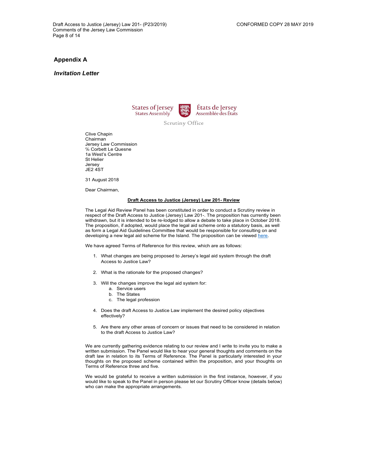#### *Invitation Letter*





Scrutiny Office

Clive Chapin Chairman Jersey Law Commission ℅ Corbett Le Quesne 1a West's Centre St Helier Jersey JE2 4ST

31 August 2018

Dear Chairman,

#### **Draft Access to Justice (Jersey) Law 201- Review**

The Legal Aid Review Panel has been constituted in order to conduct a Scrutiny review in respect of the Draft Access to Justice (Jersey) Law 201-. The proposition has currently been withdrawn, but it is intended to be re-lodged to allow a debate to take place in October 2018. The proposition, if adopted, would place the legal aid scheme onto a statutory basis, as well as form a Legal Aid Guidelines Committee that would be responsible for consulting on and developing a new legal aid scheme for the Island. The proposition can be viewed here.

We have agreed Terms of Reference for this review, which are as follows:

- 1. What changes are being proposed to Jersey's legal aid system through the draft Access to Justice Law?
- 2. What is the rationale for the proposed changes?
- 3. Will the changes improve the legal aid system for:
	- a. Service users
	- b. The States
	- c. The legal profession
- 4. Does the draft Access to Justice Law implement the desired policy objectives effectively?
- 5. Are there any other areas of concern or issues that need to be considered in relation to the draft Access to Justice Law?

We are currently gathering evidence relating to our review and I write to invite you to make a written submission. The Panel would like to hear your general thoughts and comments on the draft law in relation to its Terms of Reference. The Panel is particularly interested in your thoughts on the proposed scheme contained within the proposition, and your thoughts on Terms of Reference three and five.

We would be grateful to receive a written submission in the first instance, however, if you would like to speak to the Panel in person please let our Scrutiny Officer know (details below) who can make the appropriate arrangements.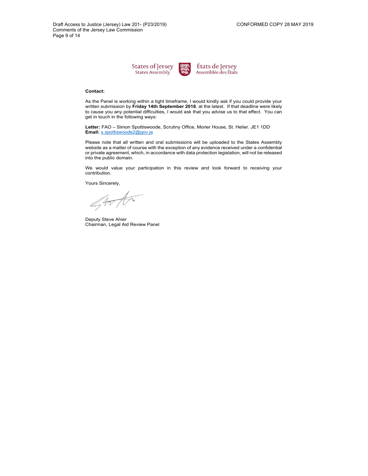



#### **Contact:**

As the Panel is working within a tight timeframe, I would kindly ask if you could provide your written submission by **Friday 14th September 2018**, at the latest. If that deadline were likely to cause you any potential difficulties, I would ask that you advise us to that effect. You can get in touch in the following ways:

**Letter:** FAO – Simon Spottiswoode, Scrutiny Office, Morier House, St. Helier. JE1 1DD **Email:** s.spottiswoode2@gov.je

Please note that all written and oral submissions will be uploaded to the States Assembly website as a matter of course with the exception of any evidence received under a confidential or private agreement, which, in accordance with data protection legislation, will not be released into the public domain.

We would value your participation in this review and look forward to receiving your contribution.

Yours Sincerely,

gorta

Deputy Steve Ahier Chairman, Legal Aid Review Panel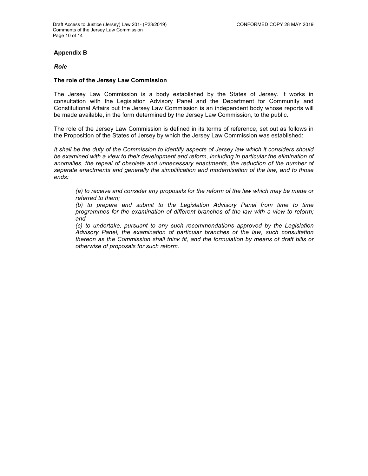# **Appendix B**

*Role* 

# **The role of the Jersey Law Commission**

The Jersey Law Commission is a body established by the States of Jersey. It works in consultation with the Legislation Advisory Panel and the Department for Community and Constitutional Affairs but the Jersey Law Commission is an independent body whose reports will be made available, in the form determined by the Jersey Law Commission, to the public.

The role of the Jersey Law Commission is defined in its terms of reference, set out as follows in the Proposition of the States of Jersey by which the Jersey Law Commission was established:

*It shall be the duty of the Commission to identify aspects of Jersey law which it considers should*  be examined with a view to their development and reform, including in particular the elimination of *anomalies, the repeal of obsolete and unnecessary enactments, the reduction of the number of separate enactments and generally the simplification and modernisation of the law, and to those ends:*

*(a) to receive and consider any proposals for the reform of the law which may be made or referred to them;* 

*(b) to prepare and submit to the Legislation Advisory Panel from time to time programmes for the examination of different branches of the law with a view to reform; and* 

*(c) to undertake, pursuant to any such recommendations approved by the Legislation Advisory Panel, the examination of particular branches of the law, such consultation thereon as the Commission shall think fit, and the formulation by means of draft bills or otherwise of proposals for such reform.*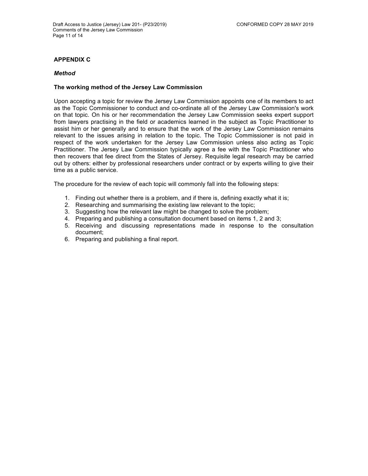# **APPENDIX C**

### *Method*

# **The working method of the Jersey Law Commission**

Upon accepting a topic for review the Jersey Law Commission appoints one of its members to act as the Topic Commissioner to conduct and co-ordinate all of the Jersey Law Commission's work on that topic. On his or her recommendation the Jersey Law Commission seeks expert support from lawyers practising in the field or academics learned in the subject as Topic Practitioner to assist him or her generally and to ensure that the work of the Jersey Law Commission remains relevant to the issues arising in relation to the topic. The Topic Commissioner is not paid in respect of the work undertaken for the Jersey Law Commission unless also acting as Topic Practitioner. The Jersey Law Commission typically agree a fee with the Topic Practitioner who then recovers that fee direct from the States of Jersey. Requisite legal research may be carried out by others: either by professional researchers under contract or by experts willing to give their time as a public service.

The procedure for the review of each topic will commonly fall into the following steps:

- 1. Finding out whether there is a problem, and if there is, defining exactly what it is;
- 2. Researching and summarising the existing law relevant to the topic;
- 3. Suggesting how the relevant law might be changed to solve the problem;
- 4. Preparing and publishing a consultation document based on items 1, 2 and 3;
- 5. Receiving and discussing representations made in response to the consultation document;
- 6. Preparing and publishing a final report.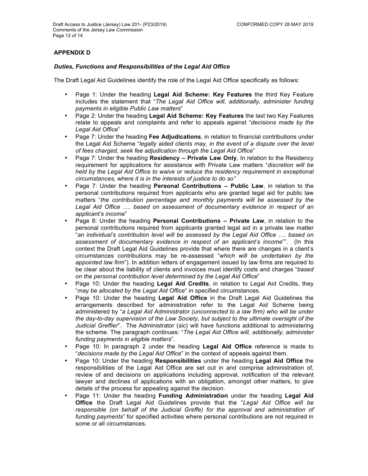# **APPENDIX D**

# *Duties, Functions and Responsibilities of the Legal Aid Office*

The Draft Legal Aid Guidelines identify the role of the Legal Aid Office specifically as follows:

- Page 1: Under the heading **Legal Aid Scheme: Key Features** the third Key Feature includes the statement that "*The Legal Aid Office will, additionally, administer funding payments in eligible Public Law matters*"
- Page 2: Under the heading **Legal Aid Scheme: Key Features** the last two Key Features relate to appeals and complaints and refer to appeals against "*decisions made by the Legal Aid Office*"
- Page 7: Under the heading **Fee Adjudications**, in relation to financial contributions under the Legal Aid Scheme "*legally aided clients may, in the event of a dispute over the level of fees charged, seek fee adjudication through the Legal Aid Office*"
- Page 7: Under the heading **Residency – Private Law Only**, In relation to the Residency requirement for applications for assistance with Private Law matters "*discretion will be held by the Legal Aid Office to waive or reduce the residency requirement in exceptional circumstances, where it is in the interests of justice to do so"*
- Page 7: Under the heading **Personal Contributions – Public Law**, in relation to the personal contributions required from applicants who are granted legal aid for public law matters "*the contribution percentage and monthly payments will be assessed by the Legal Aid Office …. based on assessment of documentary evidence in respect of an applicant's income*"
- Page 8: Under the heading **Personal Contributions – Private Law**, in relation to the personal contributions required from applicants granted legal aid in a private law matter "*an individual's contribution level will be assessed by the Legal Aid Office …. based on assessment of documentary evidence in respect of an applicant's income*"". (In this context the Draft Legal Aid Guidelines provide that where there are changes in a client's circumstances contributions may be re-assessed "*which will be undertaken by the appointed law firm*"). In addition letters of engagement issued by law firms are required to be clear about the liability of clients and invoices must identify costs and charges "*based on the personal contribution level determined by the Legal Aid Office*"
- Page 10: Under the heading **Legal Aid Credits**, in relation to Legal Aid Credits, they "*may be allocated by the Legal Aid Office*" in specified circumstances.
- Page 10: Under the heading **Legal Aid Office** in the Draft Legal Aid Guidelines the arrangements described for administration refer to the Legal Aid Scheme being administered by "*a Legal Aid Administrator (unconnected to a law firm) who will be under the day-to-day supervision of the Law Society, but subject to the ultimate oversight of the Judicial Greffier*". The Administrator (*sic*) will have functions additional to administering the scheme. The paragraph continues: "*The Legal Aid Office will, additionally, administer funding payments in eligible matters*".
- Page 10: In paragraph 2 under the heading **Legal Aid Office** reference is made to "*decisions made by the Legal Aid Office*" in the context of appeals against them.
- Page 10: Under the heading **Responsibilities** under the heading **Legal Aid Office** the responsibilities of the Legal Aid Office are set out in and comprise administration of, review of and decisions on applications including approval, notification of the relevant lawyer and declines of applications with an obligation, amongst other matters, to give details of the process for appealing against the decision.
- Page 11: Under the heading **Funding Administration** under the heading **Legal Aid Office** the Draft Legal Aid Guidelines provide that the "*Legal Aid Office will be responsible (on behalf of the Judicial Greffe) for the approval and administration of funding payments*" for specified activities where personal contributions are not required in some or all circumstances.